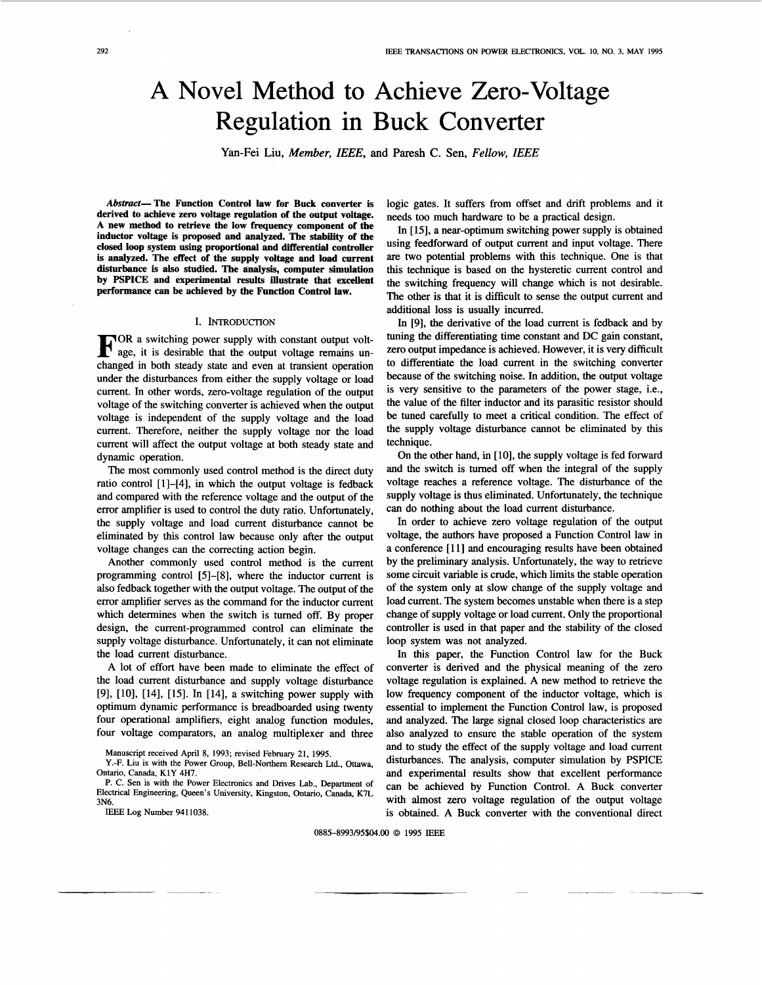# A Novel Method to Achieve Zero-Voltage Regulation in Buck Converter

Yan-Fei Liu, Member, IEEE, **and** Paresh C. Sen, Fellow, IEEE

**Abstract-The Function Control law for Buck converter is derived to achieve zero voltage regulation of the output voltage. A new method to retrieve the low frequency component of the inductor voltage is proposed and analyzed. The stability of the closed loop system using proportional and differential controller is analyzed. The effect of the supply voltage and load current disturbance is also studied. The ahalysis, computer simulation by PSPICE and experimental** results **illustrate that excellent performance can be achieved by the Function Control law.** 

I. INTRODUCTION<br> **OR** a switching power supply with constant output volt-<br>
age, it is desirable that the output voltage remains un-<br>
shaped in both stacky state and supput of transient appraise. changed in both steady state and even at transient operation under the disturbances from either the supply voltage or load current. In other words, zero-voltage regulation of the output voltage of the switching converter is achieved when the output voltage is independent of the supply voltage and the load current. Therefore, neither the supply voltage nor the load current will affect the output voltage at both steady state and dynamic operation.

The most commonly used control method is the direct duty ratio control [ll-[4], in which the output voltage is fedback and compared with the reference voltage and the output of the error amplifier is used to control the duty ratio. Unfortunately, the supply voltage and load current disturbance cannot be eliminated by this control law because only after the output voltage changes can the correcting action begin.

Another commonly used control method is the current programming control [5]-[8], where the inductor current is also fedback together with the output voltage. The output of the error amplifier serves as the command for the inductor current which determines when the switch is turned off. By proper design, the current-programmed control can eliminate the supply voltage disturbance. Unfortunately, it can not eliminate the load current disturbance.

A lot of effort have been made to eliminate the effect of the load current disturbance and supply voltage disturbance [9], [10], [14], [15]. In [14], a switching power supply with optimum dynamic performance is breadboarded using twenty four operational amplifiers, eight analog function modules, four voltage comparators, an analog multiplexer and three

IEEE Log Number 9411038.

logic gates. It suffers from offset and drift problems and it needs too much hardware to be a practical design.

In [15], a near-optimum switching power supply is obtained using feedforward of output current and input voltage. There are *two* potential problems with this technique. One is that this technique is based on the hysteretic current control and the switching frequency will change which is not desirable. The other is that it is difficult to sense the output current and additional loss is usually incurred.

In [9], the derivative of the load current is fedback and by tuning the differentiating time constant and DC gain constant, zero output impedance is achieved. However, it is very difficult to differentiate the load current in the switching converter because of the switching noise. In addition, the output voltage is very sensitive to the parameters of the power stage, i.e., the value of the filter inductor and its parasitic resistor should be tuned carefully to meet a critical condition. The effect of the supply voltage disturbance cannot be eliminated by this technique.

On the other hand, in [10], the supply voltage is fed forward and the switch is turned off when the integral of the supply voltage reaches a reference voltage. The disturbance of the supply voltage is thus eliminated. Unfortunately, the technique can do nothing about the load current disturbance.

In order to achieve zero voltage regulation of the output voltage, the authors have proposed a Function Control law in a conference [11] and encouraging results have been obtained by the preliminary analysis. Unfortunately, the way to retrieve some circuit variable is crude, which limits the stable operation of the system **only** at slow change of the supply voltage and load current. The system becomes unstable when there is a step change of supply voltage or load current. Only the proportional controller is used in that paper and the stability of the closed loop system was not analyzed.

In this paper, the Function Control law for the Buck converter is derived and the physical meaning of the zero voltage regulation is explained. A new method to retrieve the low frequency component of the inductor voltage, which is essential to implement the Function Control law, is proposed and analyzed. The large signal closed loop characteristics are also analyzed to ensure the stable operation of the system and to study the effect of the supply voltage and load current disturbances. The analysis, computer simulation by PSPICE and experimental results show that excellent performance can be achieved by Function Control. A Buck converter with almost zero voltage regulation of the output voltage is obtained. A Buck converter with the conventional direct

0885-8993/95\$04.00 *0* 1995 IEEE

Manuscript received April 8, 1993; revised February **21, 1995.** 

**Y.-F.** Liu is with the Power Group, Bell-Northem Research Ltd., Ottawa, Ontario, Canada, **K1Y 4H7.** 

**P.** C. Sen is with the Power Electronics and Drives Lab., Department of Electrical Engineering, Queen's University, Kingston, Ontario, Canada, K7L 3N6.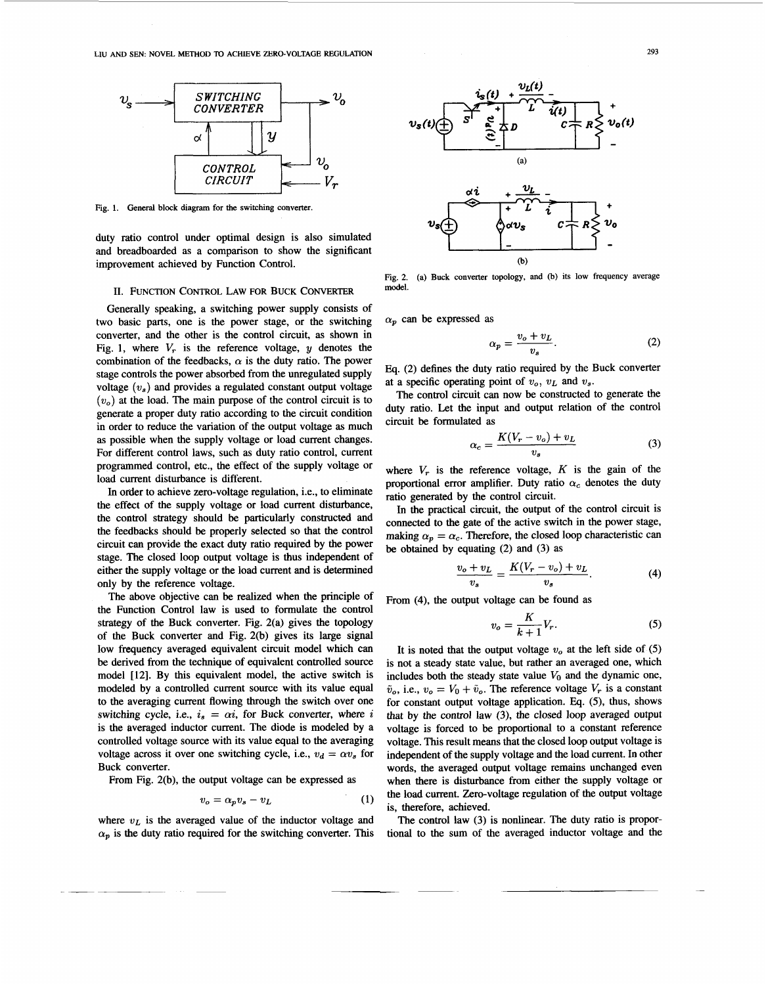

**Fig. 1. General block diagram for the switching converter.** 

duty ratio control under optimal design is also simulated and breadboarded as a comparison to show the significant improvement achieved by Function Control.

#### **U. FUNCTION** CONTROL LAW FOR BUCK CONVERTER

Generally speaking, a switching power supply consists of two basic parts, one is the power stage, or the switching converter, and the other is the control circuit, **as** shown in Fig. 1, where  $V_r$  is the reference voltage, y denotes the combination of the feedbacks,  $\alpha$  is the duty ratio. The power stage controls the power absorbed from the unregulated supply voltage  $(v_s)$  and provides a regulated constant output voltage  $(v<sub>o</sub>)$  at the load. The main purpose of the control circuit is to generate a proper duty ratio according to the circuit condition in order to reduce the variation of the output voltage **as** much as possible when the supply voltage or load current changes. For different control laws, such as duty ratio control, current programmed control, etc., the effect of the supply voltage or load current disturbance is different.

In order to achieve zero-voltage regulation, i.e., to eliminate the effect of the supply voltage or load current disturbance, the control strategy should be particularly constructed and the feedbacks should be properly selected so that the control circuit can provide the exact duty ratio required by the power stage. The closed loop output voltage is thus independent of either the supply voltage or the load current and is determined only by the reference voltage.

The above objective can be realized when the principle of the Function Control law is used to formulate the control strategy of the Buck converter. Fig. 2(a) gives the topology of the Buck converter and Fig. 2(b) gives its large signal low frequency averaged equivalent circuit model which can be derived from the technique of equivalent controlled source model [12]. By this equivalent model, the active switch is modeled by a controlled current source with its value equal to the averaging current flowing through the switch over one switching cycle, i.e.,  $i_s = \alpha i$ , for Buck converter, where *i* is the averaged inductor current. The diode is modeled by a controlled voltage source with its value equal to the averaging voltage across it over one switching cycle, i.e.,  $v_d = \alpha v_s$  for Buck converter.

From Fig. 2(b), the output voltage can be expressed as

$$
v_o = \alpha_p v_s - v_L \tag{1}
$$

where  $v_L$  is the averaged value of the inductor voltage and  $\alpha_p$  is the duty ratio required for the switching converter. This



**Fig. 2. model. (a) Buck converter topology, and** (b) **its low frequency average** 

 $\alpha_p$  can be expressed as

$$
\alpha_p = \frac{v_o + v_L}{v_s}.\tag{2}
$$

**Eq.** (2) defines the duty ratio required by the Buck converter at a specific operating point of  $v_0$ ,  $v_L$  and  $v_s$ .

The control circuit can now be constructed to generate the duty ratio. Let the input and output relation of the control circuit be formulated as

$$
\alpha_c = \frac{K(V_r - v_o) + v_L}{v_s} \tag{3}
$$

where  $V_r$  is the reference voltage,  $K$  is the gain of the proportional error amplifier. Duty ratio  $\alpha_c$  denotes the duty ratio generated by the control circuit.

In the practical circuit, the output of the control circuit is connected to the gate of the active switch in the power stage, making  $\alpha_p = \alpha_c$ . Therefore, the closed loop characteristic can be obtained by equating (2) and (3) as

$$
\frac{v_o + v_L}{v_s} = \frac{K(V_r - v_o) + v_L}{v_s}.
$$
 (4)

From **(4),** the output voltage can be found as

$$
v_o = \frac{K}{k+1} V_r. \tag{5}
$$

It is noted that the output voltage  $v<sub>o</sub>$  at the left side of (5) is not a steady state value, but rather an averaged one, which includes both the steady state value  $V_0$  and the dynamic one, includes both the steady state value  $v_0$  and the dynamic one,  $\tilde{v}_o$ , i.e.,  $v_o = V_0 + \tilde{v}_o$ . The reference voltage  $V_r$  is a constant for constant output voltage application. **Eq.** *(5),* thus, shows that by the control law **(3),** the closed loop averaged output voltage is forced to be proportional to a constant reference voltage. This result means that the closed loop output voltage is independent of the supply voltage and the load current. In other words, the averaged output voltage remains unchanged even when there is disturbance from either the supply voltage or the load current. Zero-voltage regulation of the output voltage is, therefore, achieved.

The control law (3) is nonlinear. The duty ratio is proportional to the sum of the averaged inductor voltage and the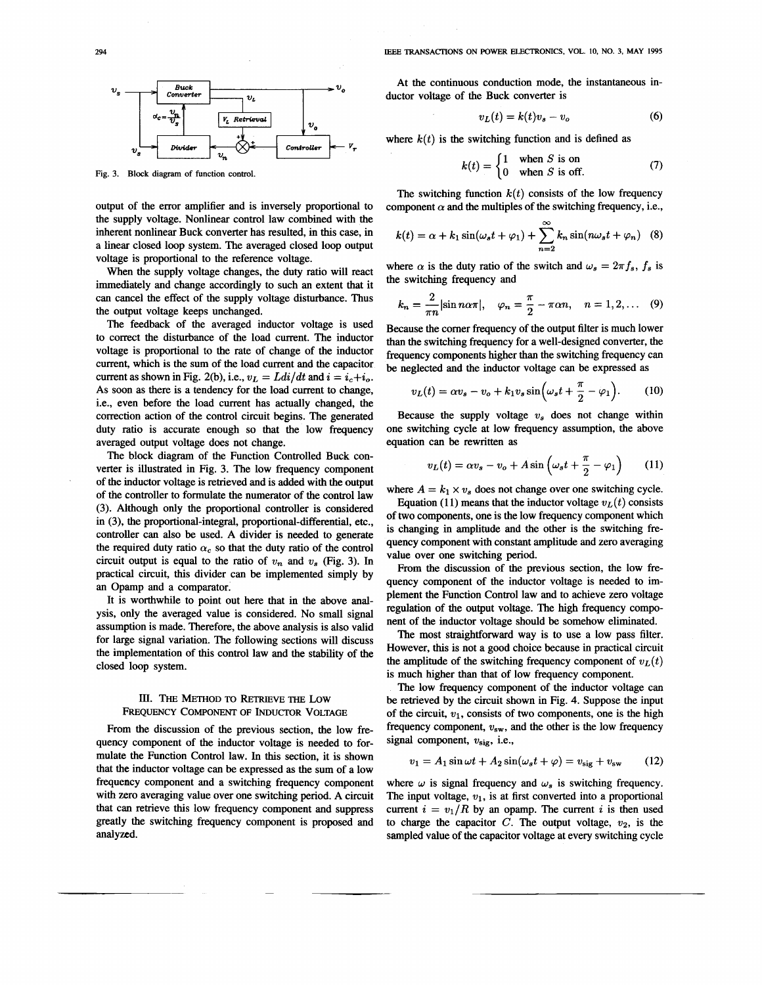<span id="page-2-0"></span>

**Fig. 3. Block diagram of function control.** 

output of the error amplifier and is inversely proportional to the supply voltage. Nonlinear control law combined with the inherent nonlinear Buck converter has resulted, in this case, in a linear closed loop system. The averaged closed loop output voltage is proportional to the reference voltage.

When the supply voltage changes, the duty ratio will react immediately and change accordingly to such an extent that it can cancel the effect of the supply voltage disturbance. Thus the output voltage keeps unchanged.

The feedback of the averaged inductor voltage is used to correct the disturbance of the load current. The inductor voltage is proportional to the rate of change of the inductor current, which is the sum of the load current and the capacitor current as shown in Fig. 2(b), i.e.,  $v_L = Ldi/dt$  and  $i = i_c + i_o$ . As soon as there is a tendency for the load current to change, i.e., even before the load current has actually changed, the correction action of the control circuit begins. The generated duty ratio is accurate enough so that the low frequency averaged output voltage does not change.

The block diagram of the Function Controlled Buck converter is illustrated in Fig. 3. The low frequency component of the inductor voltage is retrieved and is added with the output of the controller to formulate the numerator of the control law (3). Although only the proportional controller is considered in **(3),** the proportional-integral, proportional-differential, etc., controller can also be used. A divider is needed to generate the required duty ratio  $\alpha_c$  so that the duty ratio of the control circuit output is equal to the ratio of  $v_n$  and  $v_s$  (Fig. 3). In practical circuit, this divider can be implemented simply by an Opamp and a comparator.

It is worthwhile to point out here that in the above analysis, only the averaged value is considered. No small signal assumption is made. Therefore, the above analysis is also valid for large signal variation. The following sections will discuss the implementation of this control law and the stability of the closed loop system.

## **III.** THE METHOD TO RETRIEVE THE LOW **FREQUENCY COMPONENT OF hDUCTOR VOLTAGE**

From the discussion of the previous section, the low frequency component of the inductor voltage is needed to formulate the Function Control law. In this section, it is shown that the inductor voltage can be expressed as the sum of a low frequency component and a switching frequency component with zero averaging value over one switching period. A circuit that can retrieve this low frequency component and suppress greatly the switching frequency component is proposed and analyzed.

At the continuous conduction mode, the instantaneous inductor voltage of the Buck converter is

$$
v_L(t) = k(t)v_s - v_o \tag{6}
$$

where  $k(t)$  is the switching function and is defined as

$$
k(t) = \begin{cases} 1 & \text{when } S \text{ is on} \\ 0 & \text{when } S \text{ is off.} \end{cases}
$$
 (7)

The switching function  $k(t)$  consists of the low frequency component  $\alpha$  and the multiples of the switching frequency, i.e.,

$$
k(t) = \alpha + k_1 \sin(\omega_s t + \varphi_1) + \sum_{n=2}^{\infty} k_n \sin(n\omega_s t + \varphi_n)
$$
 (8)

where  $\alpha$  is the duty ratio of the switch and  $\omega_s = 2\pi f_s$ ,  $f_s$  is the switching frequency and

$$
k_n = \frac{2}{\pi n} |\sin n\alpha \pi|, \quad \varphi_n = \frac{\pi}{2} - \pi \alpha n, \quad n = 1, 2, \dots \quad (9)
$$

Because the comer frequency of the output filter is much lower than the switching frequency for a well-designed converter, the frequency components higher than the switching frequency can be neglected and the inductor voltage can be expressed as

$$
v_L(t) = \alpha v_s - v_o + k_1 v_s \sin \left(\omega_s t + \frac{\pi}{2} - \varphi_1\right). \tag{10}
$$

Because the supply voltage *w,* does not change within one switching cycle at low frequency assumption, the above equation can be rewritten **as** 

$$
v_L(t) = \alpha v_s - v_o + A \sin \left(\omega_s t + \frac{\pi}{2} - \varphi_1\right) \qquad (11)
$$

where  $A = k_1 \times v_s$  does not change over one switching cycle.

Equation (11) means that the inductor voltage  $v_L(t)$  consists of two components, one is the low frequency component which is changing in amplitude and the other is the switching frequency component with constant amplitude and zero averaging value over one switching period.

From the discussion of the previous section, the low frequency component of the inductor voltage is needed to implement the Function Control law and to achieve zero voltage regulation of the output voltage. The high frequency component of the inductor voltage should be somehow eliminated.

The most straightforward way is to use a low pass filter. However, this is not a good choice because in practical circuit the amplitude of the switching frequency component of  $v_L(t)$ is much higher than that of low frequency component.

The low frequency component of the inductor voltage can **be** retrieved by the circuit shown in [Fig.](#page-3-0) **4.** Suppose the input of the circuit,  $v_1$ , consists of two components, one is the high frequency component,  $v_{sw}$ , and the other is the low frequency signal component, **wsig,** i.e.,

$$
v_1 = A_1 \sin \omega t + A_2 \sin(\omega_s t + \varphi) = v_{\text{sig}} + v_{\text{sw}}
$$
 (12)

where  $\omega$  is signal frequency and  $\omega_s$  is switching frequency. The input voltage,  $v_1$ , is at first converted into a proportional current  $i = v_1/R$  by an opamp. The current *i* is then used to charge the capacitor  $C$ . The output voltage,  $v_2$ , is the sampled value of the capacitor voltage at every switching cycle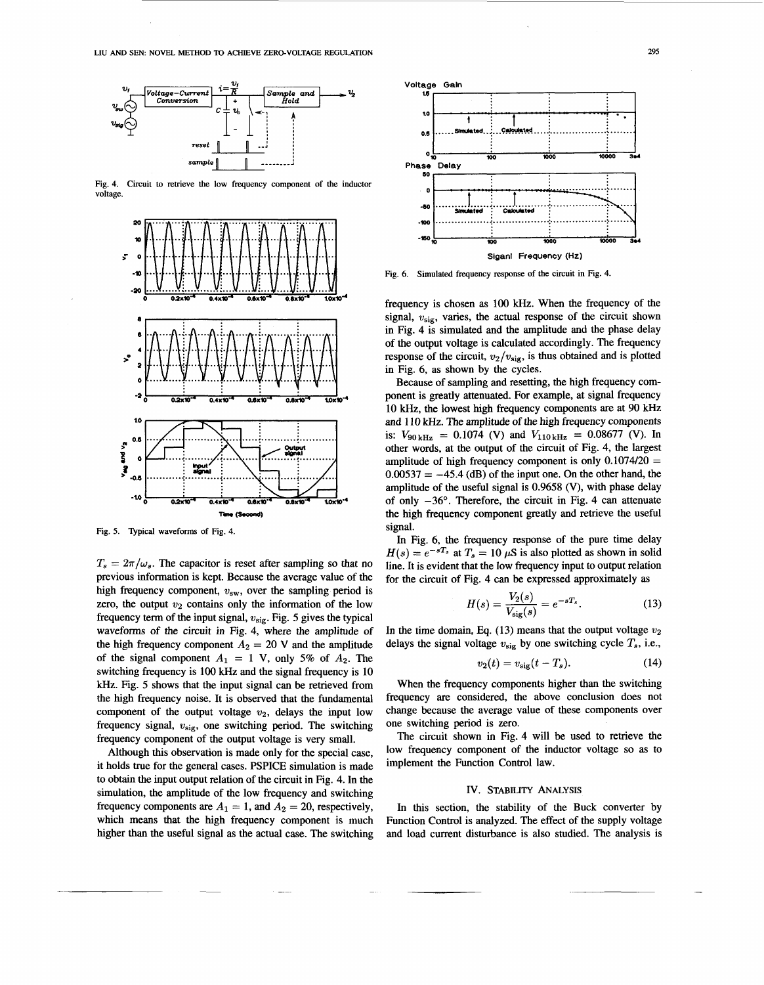<span id="page-3-0"></span>

Fig. 4. Circuit to retrieve the low frequency component of the inductor voltage



Fig. 5. Typical waveforms of Fig. 4.

 $T_s = 2\pi/\omega_s$ . The capacitor is reset after sampling so that no previous information is kept. Because the average value of the high frequency component,  $v_{sw}$ , over the sampling period is zero, the output  $v_2$  contains only the information of the low frequency term of the input signal,  $v_{\text{sig}}$ . Fig. 5 gives the typical waveforms of the circuit in Fig. 4, where the amplitude of the high frequency component  $A_2 = 20$  V and the amplitude of the signal component  $A_1 = 1$  V, only 5% of  $A_2$ . The switching frequency is 100 kHz and the signal frequency is 10 kHz. Fig. 5 shows that the input signal can be retrieved from the high frequency noise. It is observed that the fundamental component of the output voltage  $v_2$ , delays the input low frequency signal,  $v_{\text{sig}}$ , one switching period. The switching frequency component of the output voltage is very small.

Although this observation is made only for the special case, it holds true for the general cases. PSPICE simulation is made to obtain the input output relation of the circuit in Fig. 4. In the simulation, the amplitude of the low frequency and switching frequency components are  $A_1 = 1$ , and  $A_2 = 20$ , respectively, which means that the high frequency component is much higher than the useful signal as the actual case. The switching



Fig. 6. Simulated frequency response of the circuit in Fig. 4.

frequency is chosen as 100 kHz. When the frequency of the signal,  $v_{\text{sig}}$ , varies, the actual response of the circuit shown in Fig. 4 is simulated and the amplitude and the phase delay of the output voltage is calculated accordingly. The frequency response of the circuit,  $v_2/v_{\text{sig}}$ , is thus obtained and is plotted in Fig. 6, as shown by the cycles.

Because of sampling and resetting, the high frequency component is greatly attenuated. For example, at signal frequency 10 kHz, the lowest high frequency components are at 90 kHz and 110 kHz. The amplitude of the high frequency components is:  $V_{90\,\text{kHz}} = 0.1074$  (V) and  $V_{110\,\text{kHz}} = 0.08677$  (V). In other words, at the output of the circuit of Fig. 4, the largest amplitude of high frequency component is only  $0.1074/20 =$  $0.00537 = -45.4$  (dB) of the input one. On the other hand, the amplitude of the useful signal is 0.9658 (V), with phase delay of only  $-36^\circ$ . Therefore, the circuit in Fig. 4 can attenuate the high frequency component greatly and retrieve the useful signal.

In Fig. 6, the frequency response of the pure time delay  $H(s) = e^{-sT_s}$  at  $T_s = 10 \mu S$  is also plotted as shown in solid line. It is evident that the low frequency input to output relation for the circuit of Fig. 4 can be expressed approximately as

$$
H(s) = \frac{V_2(s)}{V_{\text{sig}}(s)} = e^{-sT_s}.
$$
 (13)

In the time domain, Eq. (13) means that the output voltage  $v_2$ delays the signal voltage  $v_{sig}$  by one switching cycle  $T_s$ , i.e.,

$$
v_2(t) = v_{\text{sig}}(t - T_s). \tag{14}
$$

When the frequency components higher than the switching frequency are considered, the above conclusion does not change because the average value of these components over one switching period is zero.

The circuit shown in Fig. 4 will be used to retrieve the low frequency component of the inductor voltage so as to implement the Function Control law.

# IV. STABILITY ANALYSIS

In this section, the stability of the Buck converter by Function Control is analyzed. The effect of the supply voltage and load current disturbance is also studied. The analysis is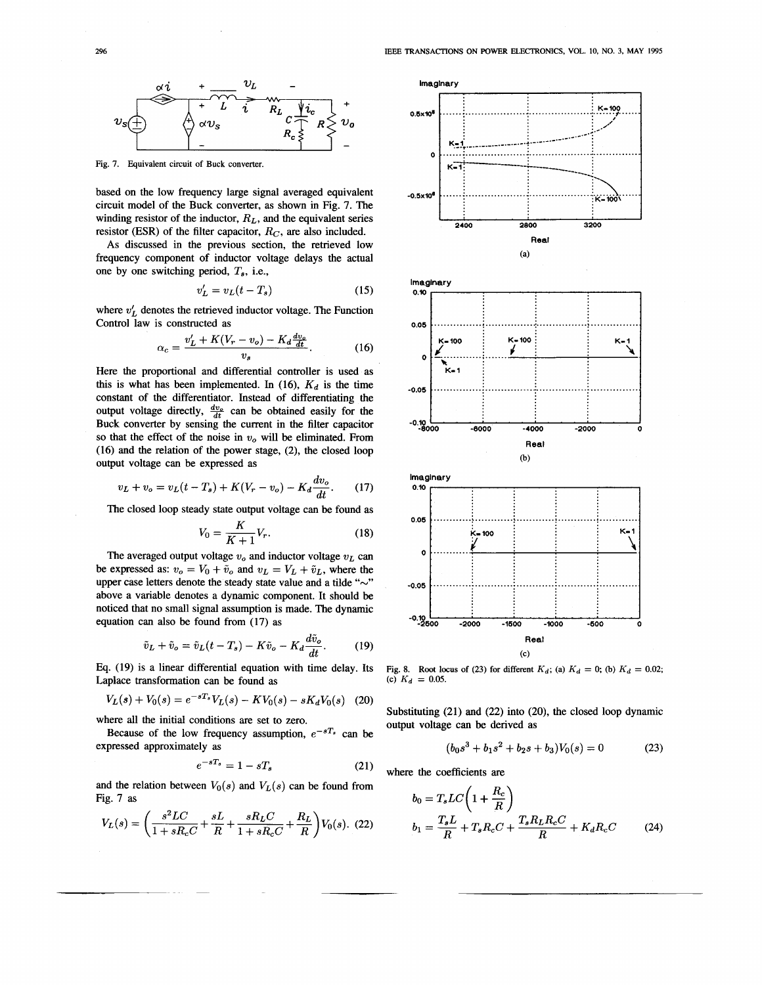<span id="page-4-0"></span>

Fig. 7. Equivalent circuit of Buck converter.

based on the low frequency large signal averaged equivalent circuit model of the Buck converter, as shown in Fig. 7. The winding resistor of the inductor,  $R_L$ , and the equivalent series resistor (ESR) of the filter capacitor,  $R_C$ , are also included.

As discussed in the previous section, the retrieved low frequency component of inductor voltage delays the actual one by one switching period,  $T_s$ , i.e.,

$$
v_L' = v_L(t - T_s) \tag{15}
$$

where  $v'_L$  denotes the retrieved inductor voltage. The Function Control law is constructed as

$$
\alpha_c = \frac{v'_L + K(V_r - v_o) - K_d \frac{dv_o}{dt}}{v_s}.
$$
 (16)

Here the proportional and differential controller is used as this is what has been implemented. In (16),  $K_d$  is the time constant of the differentiator. Instead of differentiating the output voltage directly,  $\frac{dv_o}{dt}$  can be obtained easily for the Buck converter by sensing the current in the filter capacitor so that the effect of the noise in  $v<sub>o</sub>$  will be eliminated. From  $(16)$  and the relation of the power stage,  $(2)$ , the closed loop output voltage can be expressed as

$$
v_L + v_o = v_L(t - T_s) + K(V_r - v_o) - K_d \frac{dv_o}{dt}.
$$
 (17)

The closed loop steady state output voltage can be found as

$$
V_0 = \frac{K}{K+1} V_r. \tag{18}
$$

The averaged output voltage  $v<sub>o</sub>$  and inductor voltage  $v<sub>L</sub>$  can be expressed as:  $v_o = V_0 + \tilde{v}_o$  and  $v_L = V_L + \tilde{v}_L$ , where the upper case letters denote the steady state value and a tilde "~" above a variable denotes a dynamic component. It should be noticed that no small signal assumption is made. The dynamic equation can also be found from (17) as

$$
\tilde{v}_L + \tilde{v}_o = \tilde{v}_L(t - T_s) - K\tilde{v}_o - K_d \frac{d\tilde{v}_o}{dt}.
$$
 (19)

Eq. (19) is a linear differential equation with time delay. Its Laplace transformation can be found as

$$
V_L(s) + V_0(s) = e^{-sT_s} V_L(s) - KV_0(s) - sK_d V_0(s) \quad (20)
$$

where all the initial conditions are set to zero.

Because of the low frequency assumption,  $e^{-sT_s}$  can be expressed approximately as

$$
e^{-sT_s} = 1 - sT_s \tag{21}
$$

and the relation between  $V_0(s)$  and  $V_L(s)$  can be found from Fig. 7 as

$$
V_L(s) = \left(\frac{s^2 LC}{1 + sR_c C} + \frac{sL}{R} + \frac{sR_L C}{1 + sR_c C} + \frac{R_L}{R}\right) V_0(s). \tag{22}
$$



Fig. 8. Root locus of (23) for different  $K_d$ ; (a)  $K_d = 0$ ; (b)  $K_d = 0.02$ ; (c)  $K_d = 0.05$ .

Substituting  $(21)$  and  $(22)$  into  $(20)$ , the closed loop dynamic output voltage can be derived as

$$
(b_0s^3 + b_1s^2 + b_2s + b_3)V_0(s) = 0
$$
 (23)

where the coefficients are

$$
b_0 = T_s LC\left(1 + \frac{R_c}{R}\right)
$$
  

$$
b_1 = \frac{T_s L}{R} + T_s R_c C + \frac{T_s R_L R_c C}{R} + K_d R_c C
$$
 (24)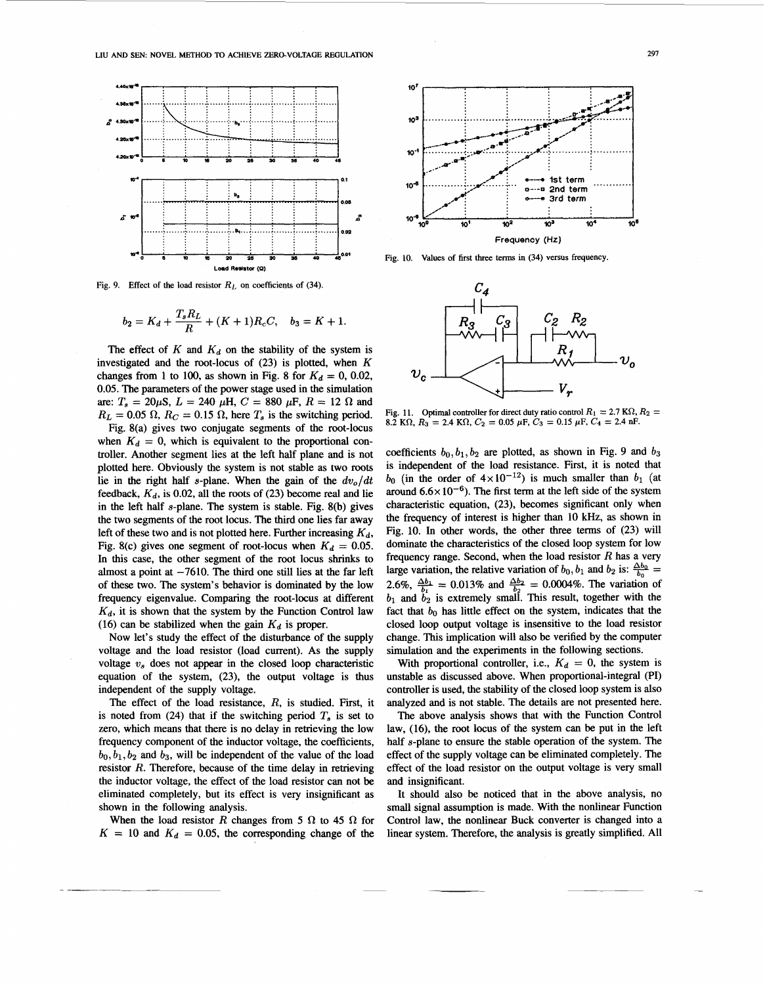

Fig. 9. Effect of the load resistor  $R_L$  on coefficients of (34).

$$
b_2 = K_d + \frac{T_s R_L}{R} + (K+1)R_cC, \quad b_3 = K+1.
$$

The effect of  $K$  and  $K_d$  on the stability of the system is investigated and the root-locus of  $(23)$  is plotted, when  $K$ changes from 1 to 100, as shown in Fig. 8 for  $K_d = 0$ , 0.02, 0.05. The parameters of the power stage used in the simulation are:  $T_s = 20 \mu S$ ,  $L = 240 \mu H$ ,  $C = 880 \mu F$ ,  $R = 12 \Omega$  and  $R_L = 0.05 \Omega$ ,  $R_C = 0.15 \Omega$ , here  $T_s$  is the switching period.

Fig. 8(a) gives two conjugate segments of the root-locus when  $K_d = 0$ , which is equivalent to the proportional controller. Another segment lies at the left half plane and is not plotted here. Obviously the system is not stable as two roots lie in the right half s-plane. When the gain of the  $dv_0/dt$ feedback,  $K_d$ , is 0.02, all the roots of (23) become real and lie in the left half  $s$ -plane. The system is stable. Fig. 8(b) gives the two segments of the root locus. The third one lies far away left of these two and is not plotted here. Further increasing  $K_d$ , Fig. 8(c) gives one segment of root-locus when  $K_d = 0.05$ . In this case, the other segment of the root locus shrinks to almost a point at  $-7610$ . The third one still lies at the far left of these two. The system's behavior is dominated by the low frequency eigenvalue. Comparing the root-locus at different  $K_d$ , it is shown that the system by the Function Control law (16) can be stabilized when the gain  $K_d$  is proper.

Now let's study the effect of the disturbance of the supply voltage and the load resistor (load current). As the supply voltage  $v_s$  does not appear in the closed loop characteristic equation of the system, (23), the output voltage is thus independent of the supply voltage.

The effect of the load resistance,  $R$ , is studied. First, it is noted from (24) that if the switching period  $T<sub>s</sub>$  is set to zero, which means that there is no delay in retrieving the low frequency component of the inductor voltage, the coefficients,  $b_0$ ,  $b_1$ ,  $b_2$  and  $b_3$ , will be independent of the value of the load resistor  $R$ . Therefore, because of the time delay in retrieving the inductor voltage, the effect of the load resistor can not be eliminated completely, but its effect is very insignificant as shown in the following analysis.

When the load resistor R changes from 5  $\Omega$  to 45  $\Omega$  for  $K = 10$  and  $K_d = 0.05$ , the corresponding change of the



Fig. 10. Values of first three terms in (34) versus frequency.



Fig. 11. Optimal controller for direct duty ratio control  $R_1 = 2.7$  K $\Omega$ ,  $R_2 =$ 8.2 KΩ,  $R_3 = 2.4$  KΩ,  $C_2 = 0.05$   $\mu$ F,  $C_3 = 0.15$   $\mu$ F,  $C_4 = 2.4$  nF.

coefficients  $b_0, b_1, b_2$  are plotted, as shown in Fig. 9 and  $b_3$ is independent of the load resistance. First, it is noted that  $b_0$  (in the order of  $4 \times 10^{-12}$ ) is much smaller than  $b_1$  (at around  $6.6 \times 10^{-6}$ ). The first term at the left side of the system characteristic equation, (23), becomes significant only when the frequency of interest is higher than 10 kHz, as shown in Fig. 10. In other words, the other three terms of (23) will dominate the characteristics of the closed loop system for low frequency range. Second, when the load resistor  $R$  has a very large variation, the relative variation of  $b_0$ ,  $b_1$  and  $b_2$  is:  $\frac{\Delta b_0}{b_0}$  = 2.6%,  $\frac{\Delta b_1}{b_1}$  = 0.013% and  $\frac{\Delta b_2}{b_2}$  = 0.0004%. The variation of  $b_1$  and  $b_2$  is extremely small. This result, together with the fact that  $b_0$  has little effect on the system, indicates that the closed loop output voltage is insensitive to the load resistor change. This implication will also be verified by the computer simulation and the experiments in the following sections.

With proportional controller, i.e.,  $K_d = 0$ , the system is unstable as discussed above. When proportional-integral (PI) controller is used, the stability of the closed loop system is also analyzed and is not stable. The details are not presented here.

The above analysis shows that with the Function Control law, (16), the root locus of the system can be put in the left half s-plane to ensure the stable operation of the system. The effect of the supply voltage can be eliminated completely. The effect of the load resistor on the output voltage is very small and insignificant.

It should also be noticed that in the above analysis, no small signal assumption is made. With the nonlinear Function Control law, the nonlinear Buck converter is changed into a linear system. Therefore, the analysis is greatly simplified. All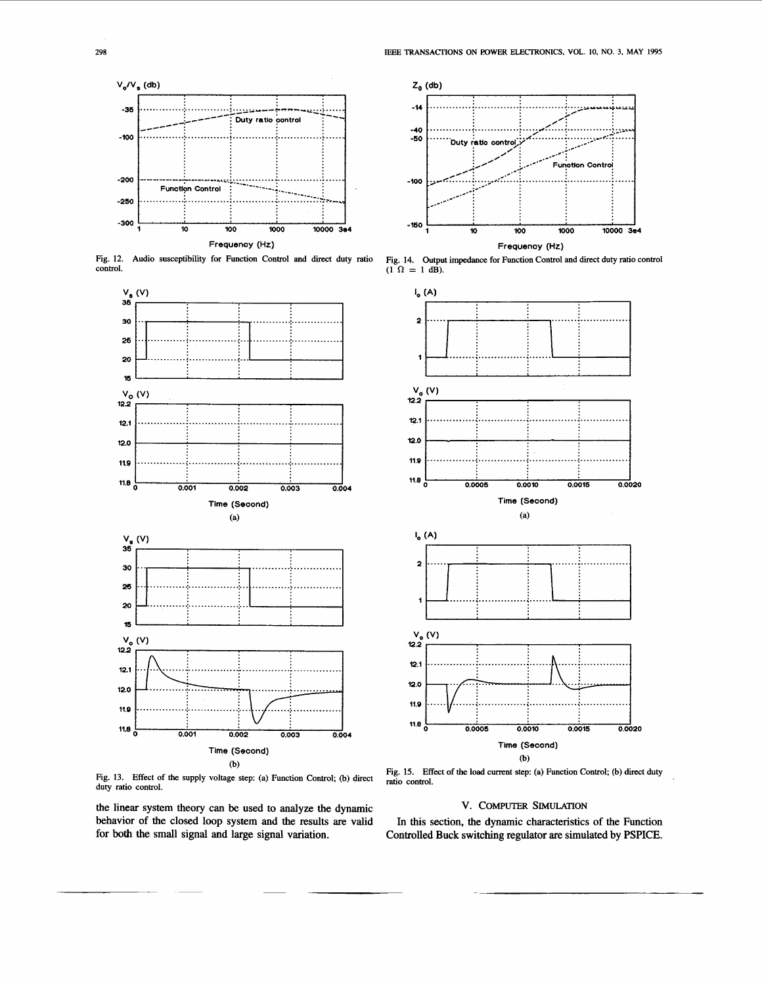<span id="page-6-0"></span>

Fig. 12. Audio susceptibility for Function Control and direct duty ratio control.



Fig. 13. Effect of the supply voltage step: (a) Function Control; (b) direct duty ratio control.

the linear system theory can be used to analyze the dynamic behavior of the closed loop system and the results are valid for both the small signal and large signal variation.



Fig. 14. Output impedance for Function Control and direct duty ratio control  $(1 \Omega = 1$  dB).



Fig. 15. Effect of the load current step: (a) Function Control; (b) direct duty ratio control.

# V. COMPUTER SIMULATION

In this section, the dynamic characteristics of the Function Controlled Buck switching regulator are simulated by PSPICE.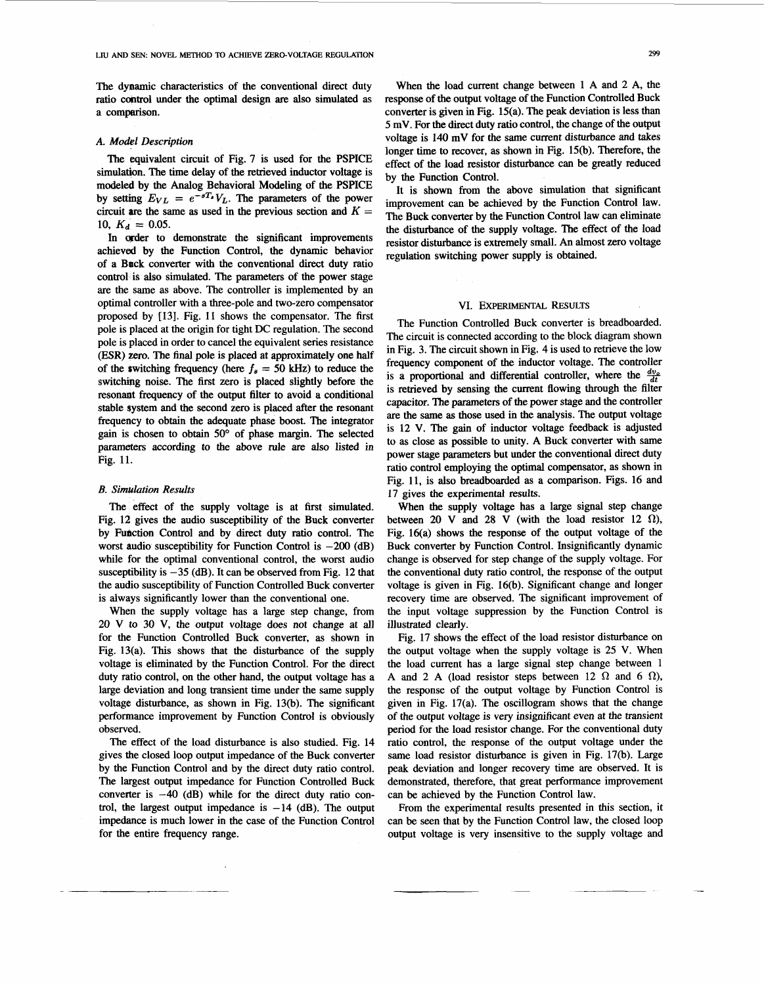The dynamic characteristics of the conventional direct duty ratio control under the optimal design **are** also simulated as a comparison.

#### *A. Model Description*

simulation. The time delay of the retrieved inductor voltage is modeled by the halog Behavioral Modeling of the PSPICE by setting  $E_{VL} = e^{-sT_s}V_L$ . The parameters of the power circuit are the same as used in the previous section and  $K =$ 10,  $K_d = 0.05$ .<br>In order to demonstrate the significant improvements

achieved by the Function Control, the dynamic behavior of a Back converter with the conventional direct duty ratio control is also simulated. The parameters of the power stage are the same as above. The controller is implemented by an optimal controller with a three-pole and two-zero compensator proposed by [13]. Fig. 11 shows the compensator. The first pole is placed at the origin for tight DC regulation. The second pole is placed in order to cancel the equivalent series resistance (ESR) zero. The final pole is placed at approximately one half of the switching frequency (here  $f_s = 50$  kHz) to reduce the switching noise. The first zero is placed slightly before the resonant frequency of the output filter to avoid a conditional stable system and the second zero is placed after the resonant frequency to obtain the adequate phase boost. The integrator gain is chosen to obtain *50"* of phase margin. The selected parameters according **to** the above rule are **also** listed in Fig. 11.

#### *B. Simulation Results*

The effect of the supply voltage is at first simulated. [Fig. 12](#page-6-0) gives the audio susceptibility of the Buck converter by Fudction Control and by direct duty ratio control. The worst audio susceptibility for Function Control is  $-200$  (dB) while for the optimal conventional control, the worst audio susceptibility is  $-35$  (dB). It can be observed from [Fig. 12](#page-6-0) that the audio susceptibility of Function Controlled Buck converter is always significantly lower than the conventional one.

When the supply voltage has a large step change, from 20 V to 30 V, the output voltage does not change at all for the Function Controlled Buck converter, as shown in Fig. 13(a). This shows that the disturbance of the supply voltage is eliminated by the Function Control. For the direct duty ratio control, on the other hand, the output voltage has a large deviation and long transient time under the same supply voltage disturbance, as shown in Fig. 13(b). The significant performance improvement by Function Control is obviously observed.

The effect of the load disturbance is also studied. Fig. 14 gives the closed loop output impedance of the Buck converter by the Function Control and by the direct duty ratio control. The largest output impedance for Function Controlled Buck converter is **-40** (dB) while for the direct duty ratio control, the largest output impedance is  $-14$  (dB). The output impedance is much lower in the case of the Function Control for the entire frequency range.

When the load current change between 1 A and 2 A, the response of the output voltage of the Function Controlled Buck converter is given in Fig. 15(a). The peak deviation is less than 5 mV. For the direct duty ratio control, the change of the output voltage is 140 mV for the same current disturbance and takes longer time to recover, **as** shown in Fig. 15(b). Therefore, the by the Function control. The equivalent circuit of Fig. 7 is used for the PSPICE effect of the load resistor disturbance can be greatly reduced

> It is shown from the above simulation that significant improvement can be achieved by the Function Control law. the disturbance of the supply voltage. The effect of the load The Buck converter by the Function Control law can eliminate resistor disturbance is extremely small. An almost zero voltage regulation switching power supply is obtained.

### VI. Experimental Results

The Function Controlled Buck converter is breadboarded. The circuit is connected according to the block diagram shown in [Fig. 3.](#page-2-0) The circuit shown in [Fig.](#page-3-0) **4** is used to retrieve the low frequency component of the inductor voltage. The controller is a proportional and differential controller, where the  $\frac{dv_o}{dt}$ is retrieved by sensing the current flowing through the filter capacitor. The parameters of the power stage and the controller are the same **as** those used in the analysis. The output voltage is 12 **V.** The gain of inductor voltage feedback is adjusted to **as** close **as** possible to unity. **A** Buck converter with same power stage parameters but under the conventional direct duty ratio control employing the optimal compensator, as shown in Fig. 11, is also breadboarded as a comparison. [Figs. 16](#page-8-0) and 17 gives the experimental results.

When **the** supply voltage has a large signal step change between 20 V and 28 V (with the load resistor 12  $\Omega$ ), Fig. 16(a) shows the response of the output voltage of the Buck converter by Function Control. Insignificantly dynamic change is observed for step change of the supply voltage. For the conventional duty ratio control, the response of the output voltage is given in Fig. 16(b). Significant change and longer recovery time are observed. The significant improvement of the input voltage suppression by the Function Control is illustrated clearly.

[Fig. 17](#page-8-0) shows the effect of the load resistor disturbance on the output voltage when the supply voltage is 25 V. When the load current has a large signal step change between 1 A and 2 A (load resistor steps between 12  $\Omega$  and 6  $\Omega$ ), the response of the output voltage by Function Control is given in Fig. 17(a). The oscillogram shows that the change of the output voltage is very insignificant even at the transient period for the load resistor change. For the conventional duty ratio control, the response of the output voltage under the same load resistor disturbance is given in Fig. 17(b). Large peak deviation and longer recovery time are observed. It is demonstrated, therefore, that great performance improvement can be achieved by the Function Control law.

From the experimental results presented in this section, it can be seen that by the Function Control law, the closed loop output voltage is very insensitive to the supply voltage and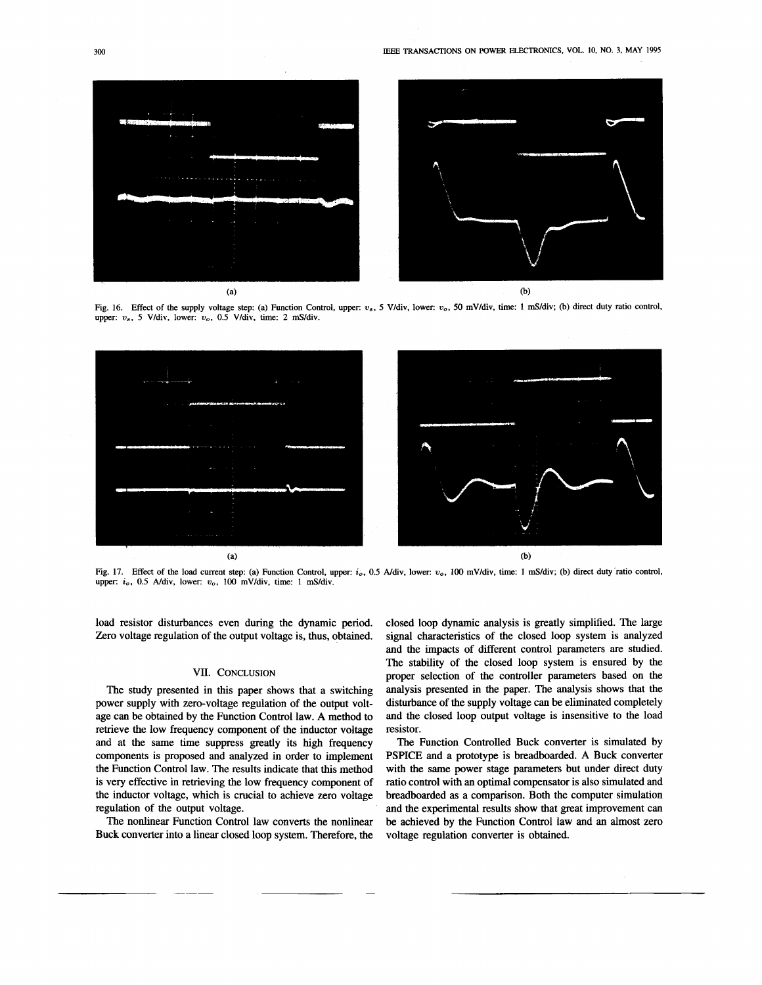<span id="page-8-0"></span>

Fig. 16. Effect of the supply voltage step: (a) Function Control, upper:  $v_s$ , 5 V/div, lower:  $v_o$ , 50 mV/div, time: 1 mS/div; (b) direct duty ratio control, upper:  $v_s$ , 5 V/div, lower:  $v_o$ , 0.5 V/div, time: 2 mS/div.



Fig. 17. Effect of the load current step: (a) Function Control, upper:  $i_0$ , 0.5 A/div, lower:  $v_0$ , 100 mV/div, time: 1 mS/div; (b) direct duty ratio control, upper: *i<sub>o</sub>*, 0.5 A/div, lower: *v<sub>o</sub>*, 100 mV/div, time: 1 mS/div.

load resistor disturbances even during the dynamic period. Zero voltage regulation of the output voltage is, thus, obtained.

# **VII. CONCLUSION**

The study presented in this paper shows that a switching power supply with zero-voltage regulation of the output voltage can be obtained by the Function Control law. A method to retrieve the low frequency component of the inductor voltage and at the same time suppress greatly its **high** frequency components is proposed and analyzed in order to implement the Function Control law. The results indicate that this method is very effective in retrieving the low frequency component of the inductor voltage, which is crucial to achieve zero voltage regulation of the output voltage.

The nonlinear Function Control law converts the nonlinear Buck converter into a linear closed loop system. Therefore, the

closed loop dynamic analysis is greatly simplified. The large signal characteristics of the closed loop system is analyzed and the impacts of different control parameters are studied. The stability of the closed loop system is ensured by the proper selection of the controller parameters based on the analysis presented in the paper. The analysis shows that the disturbance of the supply voltage can be eliminated completely and the closed loop output voltage is insensitive to the load resistor.

The Function Controlled Buck converter is simulated by PSPICE and a prototype is breadboarded. A Buck converter with the same power stage parameters but under direct duty ratio control with an optimal compensator is also simulated and breadboarded as a comparison. Both the computer simulation and the experimental results show that great improvement can be achieved by the Function Control law and an almost zero voltage regulation converter is obtained.